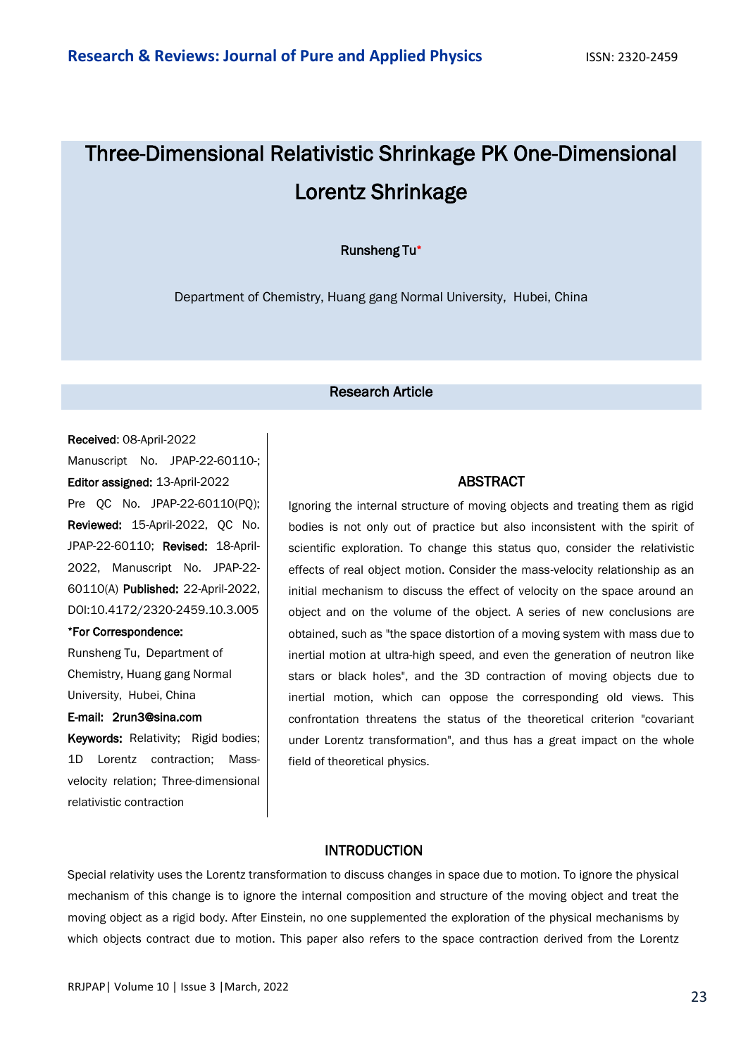# Three-Dimensional Relativistic Shrinkage PK One-Dimensional Lorentz Shrinkage

Runsheng Tu\*

Department of Chemistry, Huang gang Normal University, Hubei, China

## Research Article

#### Received: 08-April-2022

Manuscript No. JPAP-22-60110-; Editor assigned: 13-April-2022 Pre QC No. JPAP-22-60110(PQ); Reviewed: 15-April-2022, QC No. JPAP-22-60110; Revised: 18-April-2022, Manuscript No. JPAP-22- 60110(A) Published: 22-April-2022, DOI:10.4172/2320-2459.10.3.005

#### \*For Correspondence:

Runsheng Tu, Department of Chemistry, Huang gang Normal University, Hubei, China

#### E-mail: 2run3@sina.com

Keywords: Relativity; Rigid bodies; 1D Lorentz contraction; Massvelocity relation; Three-dimensional relativistic contraction

#### ABSTRACT

Ignoring the internal structure of moving objects and treating them as rigid bodies is not only out of practice but also inconsistent with the spirit of scientific exploration. To change this status quo, consider the relativistic effects of real object motion. Consider the mass-velocity relationship as an initial mechanism to discuss the effect of velocity on the space around an object and on the volume of the object. A series of new conclusions are obtained, such as "the space distortion of a moving system with mass due to inertial motion at ultra-high speed, and even the generation of neutron like stars or black holes", and the 3D contraction of moving objects due to inertial motion, which can oppose the corresponding old views. This confrontation threatens the status of the theoretical criterion "covariant under Lorentz transformation", and thus has a great impact on the whole field of theoretical physics.

## INTRODUCTION

Special relativity uses the Lorentz transformation to discuss changes in space due to motion. To ignore the physical mechanism of this change is to ignore the internal composition and structure of the moving object and treat the moving object as a rigid body. After Einstein, no one supplemented the exploration of the physical mechanisms by which objects contract due to motion. This paper also refers to the space contraction derived from the Lorentz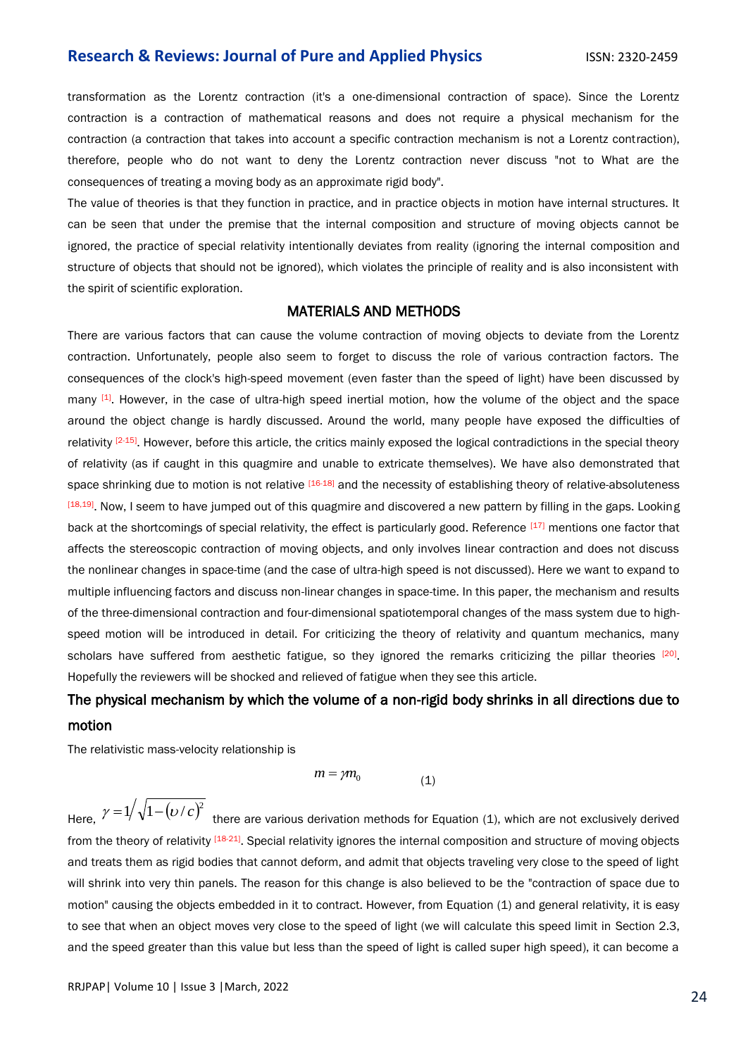transformation as the Lorentz contraction (it's a one-dimensional contraction of space). Since the Lorentz contraction is a contraction of mathematical reasons and does not require a physical mechanism for the contraction (a contraction that takes into account a specific contraction mechanism is not a Lorentz contraction), therefore, people who do not want to deny the Lorentz contraction never discuss "not to What are the consequences of treating a moving body as an approximate rigid body".

The value of theories is that they function in practice, and in practice objects in motion have internal structures. It can be seen that under the premise that the internal composition and structure of moving objects cannot be ignored, the practice of special relativity intentionally deviates from reality (ignoring the internal composition and structure of objects that should not be ignored), which violates the principle of reality and is also inconsistent with the spirit of scientific exploration.

## MATERIALS AND METHODS

There are various factors that can cause the volume contraction of moving objects to deviate from the Lorentz contraction. Unfortunately, people also seem to forget to discuss the role of various contraction factors. The consequences of the clock's high-speed movement (even faster than the speed of light) have been discussed by many [1]. However, in the case of ultra-high speed inertial motion, how the volume of the object and the space around the object change is hardly discussed. Around the world, many people have exposed the difficulties of relativity  $[2-15]$ . However, before this article, the critics mainly exposed the logical contradictions in the special theory of relativity (as if caught in this quagmire and unable to extricate themselves). We have also demonstrated that space shrinking due to motion is not relative [16-18] and the necessity of establishing theory of relative-absoluteness [18,19]. Now, I seem to have jumped out of this quagmire and discovered a new pattern by filling in the gaps. Looking back at the shortcomings of special relativity, the effect is particularly good. Reference [17] mentions one factor that affects the stereoscopic contraction of moving objects, and only involves linear contraction and does not discuss the nonlinear changes in space-time (and the case of ultra-high speed is not discussed). Here we want to expand to multiple influencing factors and discuss non-linear changes in space-time. In this paper, the mechanism and results of the three-dimensional contraction and four-dimensional spatiotemporal changes of the mass system due to highspeed motion will be introduced in detail. For criticizing the theory of relativity and quantum mechanics, many scholars have suffered from aesthetic fatigue, so they ignored the remarks criticizing the pillar theories [20]. Hopefully the reviewers will be shocked and relieved of fatigue when they see this article.

# The physical mechanism by which the volume of a non-rigid body shrinks in all directions due to motion

The relativistic mass-velocity relationship is

$$
m = \gamma m_0 \tag{1}
$$

Here,  $\gamma = 1/\sqrt{1 - (\nu/c)^2}$  there are various derivation methods for Equation (1), which are not exclusively derived from the theory of relativity [18-21]. Special relativity ignores the internal composition and structure of moving objects and treats them as rigid bodies that cannot deform, and admit that objects traveling very close to the speed of light will shrink into very thin panels. The reason for this change is also believed to be the "contraction of space due to motion" causing the objects embedded in it to contract. However, from Equation (1) and general relativity, it is easy to see that when an object moves very close to the speed of light (we will calculate this speed limit in Section 2.3, and the speed greater than this value but less than the speed of light is called super high speed), it can become a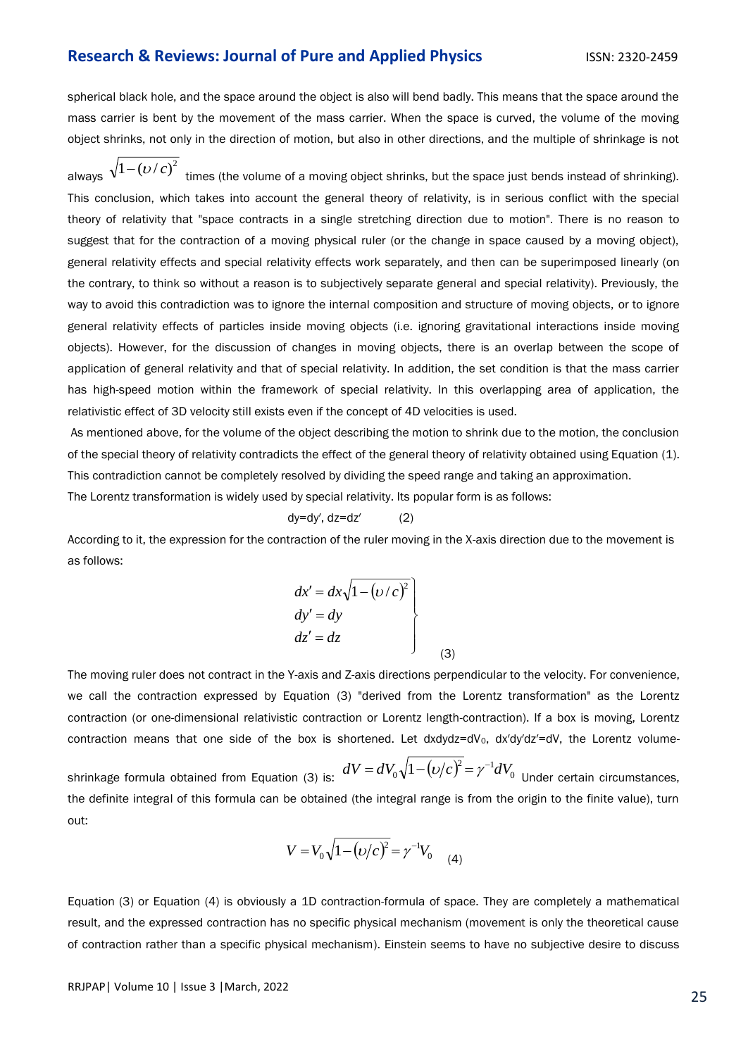spherical black hole, and the space around the object is also will bend badly. This means that the space around the mass carrier is bent by the movement of the mass carrier. When the space is curved, the volume of the moving object shrinks, not only in the direction of motion, but also in other directions, and the multiple of shrinkage is not

always  $\sqrt{1-\left(\frac{U}{c}\right)^2}$  times (the volume of a moving object shrinks, but the space just bends instead of shrinking). This conclusion, which takes into account the general theory of relativity, is in serious conflict with the special theory of relativity that "space contracts in a single stretching direction due to motion". There is no reason to suggest that for the contraction of a moving physical ruler (or the change in space caused by a moving object), general relativity effects and special relativity effects work separately, and then can be superimposed linearly (on the contrary, to think so without a reason is to subjectively separate general and special relativity). Previously, the way to avoid this contradiction was to ignore the internal composition and structure of moving objects, or to ignore general relativity effects of particles inside moving objects (i.e. ignoring gravitational interactions inside moving objects). However, for the discussion of changes in moving objects, there is an overlap between the scope of application of general relativity and that of special relativity. In addition, the set condition is that the mass carrier has high-speed motion within the framework of special relativity. In this overlapping area of application, the relativistic effect of 3D velocity still exists even if the concept of 4D velocities is used.

As mentioned above, for the volume of the object describing the motion to shrink due to the motion, the conclusion of the special theory of relativity contradicts the effect of the general theory of relativity obtained using Equation (1). This contradiction cannot be completely resolved by dividing the speed range and taking an approximation.

The Lorentz transformation is widely used by special relativity. Its popular form is as follows:

$$
dy = dy', dz = dz'
$$
 (2)

According to it, the expression for the contraction of the ruler moving in the X-axis direction due to the movement is as follows:

$$
dx' = dx\sqrt{1 - (v/c)^{2}}
$$
  
\n
$$
dy' = dy
$$
  
\n
$$
dz' = dz
$$
\n(3)

The moving ruler does not contract in the Y-axis and Z-axis directions perpendicular to the velocity. For convenience, we call the contraction expressed by Equation (3) "derived from the Lorentz transformation" as the Lorentz contraction (or one-dimensional relativistic contraction or Lorentz length-contraction). If a box is moving, Lorentz contraction means that one side of the box is shortened. Let dxdydz=dV<sub>0</sub>, dx′dy′dz′=dV, the Lorentz volume-

shrinkage formula obtained from Equation (3) is:  $dV = dV_0 \sqrt{1 - \left(\nu/c\right)^2} = \gamma^{-1} dV_0$  Under certain circumstances, the definite integral of this formula can be obtained (the integral range is from the origin to the finite value), turn out:

$$
V = V_0 \sqrt{1 - (\nu/c)^2} = \gamma^{-1} V_0 \tag{4}
$$

Equation (3) or Equation (4) is obviously a 1D contraction-formula of space. They are completely a mathematical result, and the expressed contraction has no specific physical mechanism (movement is only the theoretical cause of contraction rather than a specific physical mechanism). Einstein seems to have no subjective desire to discuss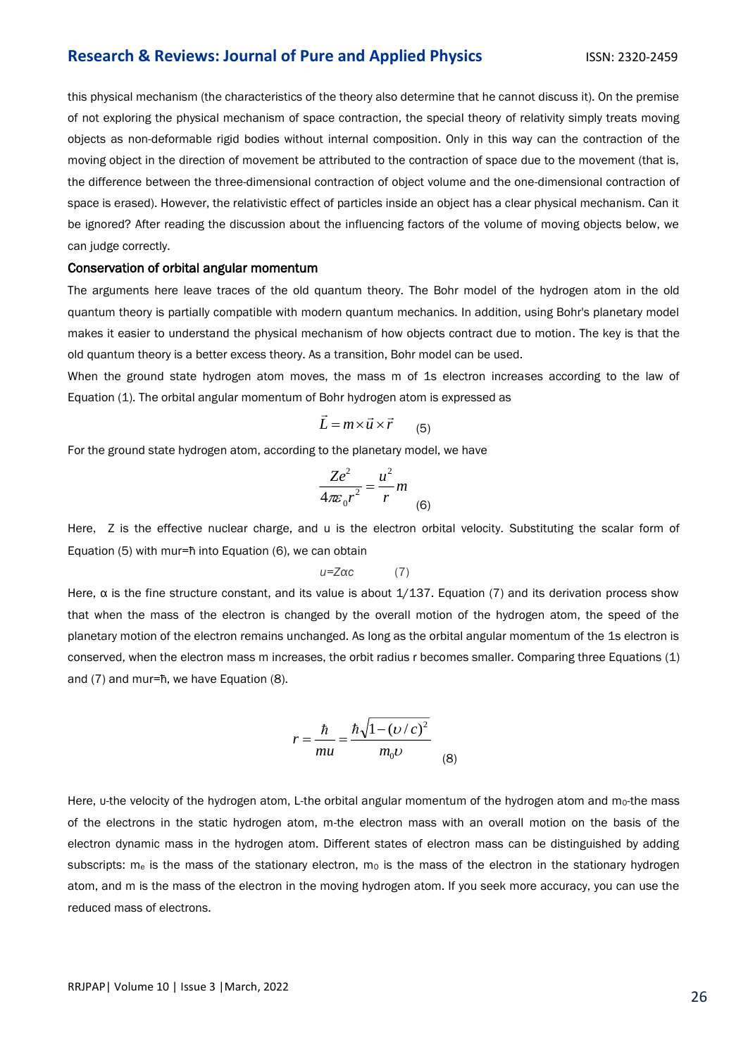this physical mechanism (the characteristics of the theory also determine that he cannot discuss it). On the premise of not exploring the physical mechanism of space contraction, the special theory of relativity simply treats moving objects as non-deformable rigid bodies without internal composition. Only in this way can the contraction of the moving object in the direction of movement be attributed to the contraction of space due to the movement (that is, the difference between the three-dimensional contraction of object volume and the one-dimensional contraction of space is erased). However, the relativistic effect of particles inside an object has a clear physical mechanism. Can it be ignored? After reading the discussion about the influencing factors of the volume of moving objects below, we can judge correctly.

#### Conservation of orbital angular momentum

The arguments here leave traces of the old quantum theory. The Bohr model of the hydrogen atom in the old quantum theory is partially compatible with modern quantum mechanics. In addition, using Bohr's planetary model makes it easier to understand the physical mechanism of how objects contract due to motion. The key is that the old quantum theory is a better excess theory. As a transition, Bohr model can be used.

When the ground state hydrogen atom moves, the mass m of 1s electron increases according to the law of Equation (1). The orbital angular momentum of Bohr hydrogen atom is expressed as

$$
\vec{L} = m \times \vec{u} \times \vec{r}
$$
 (5)

For the ground state hydrogen atom, according to the planetary model, we have

$$
\frac{Ze^2}{4\pi\varepsilon_0 r^2} = \frac{u^2}{r} m
$$

Here, Z is the effective nuclear charge, and u is the electron orbital velocity. Substituting the scalar form of Equation (5) with mur=ћ into Equation (6), we can obtain

$$
u = Z\alpha c \tag{7}
$$

Here,  $\alpha$  is the fine structure constant, and its value is about  $1/137$ . Equation (7) and its derivation process show that when the mass of the electron is changed by the overall motion of the hydrogen atom, the speed of the planetary motion of the electron remains unchanged. As long as the orbital angular momentum of the 1s electron is conserved, when the electron mass m increases, the orbit radius r becomes smaller. Comparing three Equations (1) and (7) and mur=ћ, we have Equation (8).

$$
r = \frac{\hbar}{mu} = \frac{\hbar \sqrt{1 - (v/c)^2}}{m_0 \nu}
$$
 (8)

Here, u-the velocity of the hydrogen atom, L-the orbital angular momentum of the hydrogen atom and mo-the mass of the electrons in the static hydrogen atom, m-the electron mass with an overall motion on the basis of the electron dynamic mass in the hydrogen atom. Different states of electron mass can be distinguished by adding subscripts:  $m_e$  is the mass of the stationary electron,  $m_0$  is the mass of the electron in the stationary hydrogen atom, and m is the mass of the electron in the moving hydrogen atom. If you seek more accuracy, you can use the reduced mass of electrons.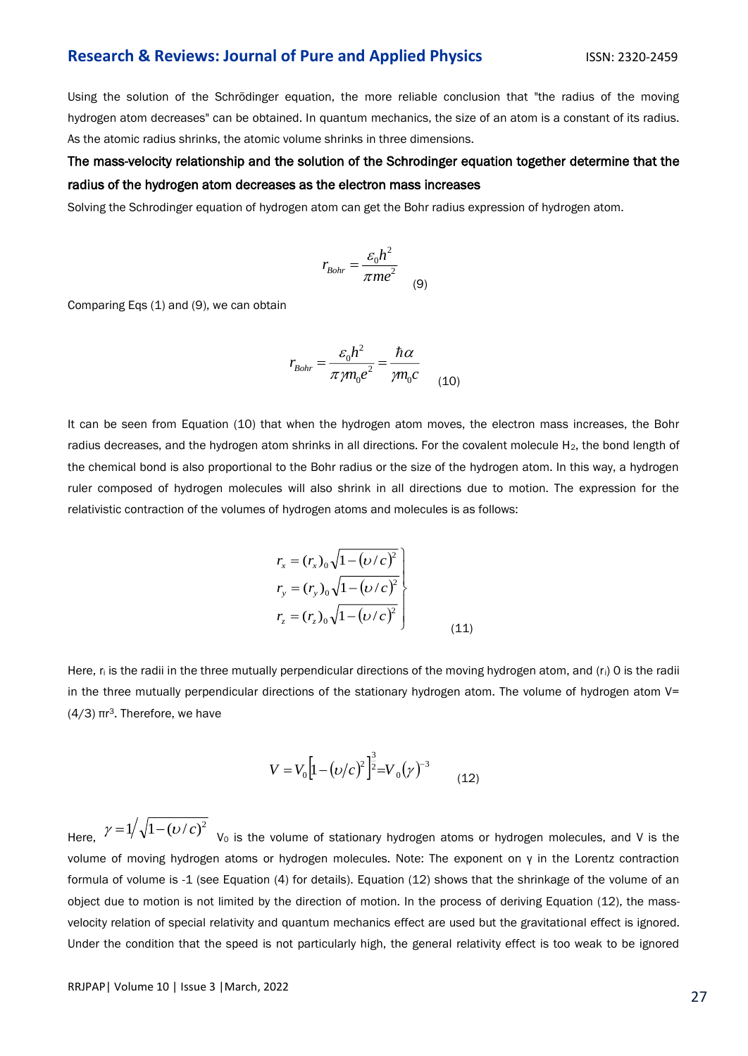Using the solution of the Schrödinger equation, the more reliable conclusion that "the radius of the moving hydrogen atom decreases" can be obtained. In quantum mechanics, the size of an atom is a constant of its radius. As the atomic radius shrinks, the atomic volume shrinks in three dimensions.

# The mass-velocity relationship and the solution of the Schrodinger equation together determine that the radius of the hydrogen atom decreases as the electron mass increases

Solving the Schrodinger equation of hydrogen atom can get the Bohr radius expression of hydrogen atom.

$$
r_{Bohr} = \frac{\varepsilon_0 h^2}{\pi m e^2}
$$
 (9)

Comparing Eqs (1) and (9), we can obtain

$$
r_{Bohr} = \frac{\varepsilon_0 h^2}{\pi \gamma m_0 e^2} = \frac{\hbar \alpha}{\gamma m_0 c}
$$
 (10)

It can be seen from Equation (10) that when the hydrogen atom moves, the electron mass increases, the Bohr radius decreases, and the hydrogen atom shrinks in all directions. For the covalent molecule H<sub>2</sub>, the bond length of the chemical bond is also proportional to the Bohr radius or the size of the hydrogen atom. In this way, a hydrogen ruler composed of hydrogen molecules will also shrink in all directions due to motion. The expression for the relativistic contraction of the volumes of hydrogen atoms and molecules is as follows:

$$
r_x = (r_x)_0 \sqrt{1 - (\nu/c)^2}
$$
  
\n
$$
r_y = (r_y)_0 \sqrt{1 - (\nu/c)^2}
$$
  
\n
$$
r_z = (r_z)_0 \sqrt{1 - (\nu/c)^2}
$$
  
\n(11)

Here,  $r_i$  is the radii in the three mutually perpendicular directions of the moving hydrogen atom, and  $(r_i)$  O is the radii in the three mutually perpendicular directions of the stationary hydrogen atom. The volume of hydrogen atom V=  $(4/3)$  πr<sup>3</sup>. Therefore, we have

$$
V = V_0 \left[ 1 - \left( \frac{v}{c} \right)^2 \right]^{\frac{3}{2}} = V_0 \left( \gamma \right)^{-3} \tag{12}
$$

Here,  $\gamma = 1/\sqrt{1 - (\nu/c)^2}$   $V_0$  is the volume of stationary hydrogen atoms or hydrogen molecules, and V is the volume of moving hydrogen atoms or hydrogen molecules. Note: The exponent on γ in the Lorentz contraction formula of volume is -1 (see Equation (4) for details). Equation (12) shows that the shrinkage of the volume of an object due to motion is not limited by the direction of motion. In the process of deriving Equation (12), the massvelocity relation of special relativity and quantum mechanics effect are used but the gravitational effect is ignored. Under the condition that the speed is not particularly high, the general relativity effect is too weak to be ignored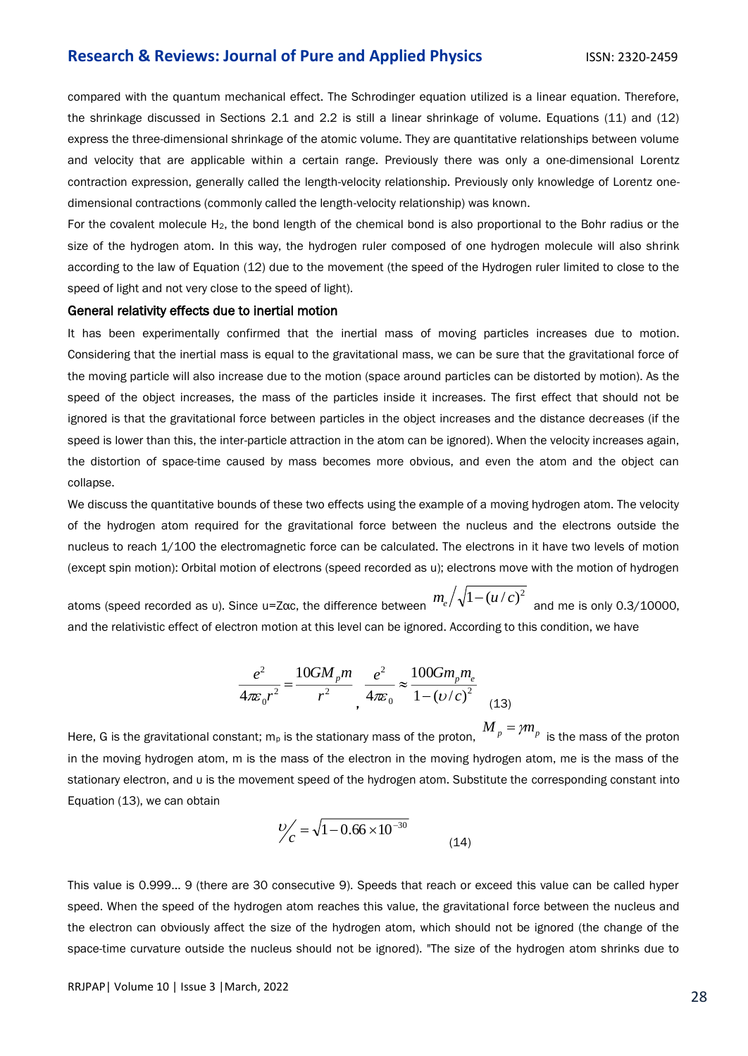compared with the quantum mechanical effect. The Schrodinger equation utilized is a linear equation. Therefore, the shrinkage discussed in Sections 2.1 and 2.2 is still a linear shrinkage of volume. Equations (11) and (12) express the three-dimensional shrinkage of the atomic volume. They are quantitative relationships between volume and velocity that are applicable within a certain range. Previously there was only a one-dimensional Lorentz contraction expression, generally called the length-velocity relationship. Previously only knowledge of Lorentz onedimensional contractions (commonly called the length-velocity relationship) was known.

For the covalent molecule  $H_2$ , the bond length of the chemical bond is also proportional to the Bohr radius or the size of the hydrogen atom. In this way, the hydrogen ruler composed of one hydrogen molecule will also shrink according to the law of Equation (12) due to the movement (the speed of the Hydrogen ruler limited to close to the speed of light and not very close to the speed of light).

#### General relativity effects due to inertial motion

It has been experimentally confirmed that the inertial mass of moving particles increases due to motion. Considering that the inertial mass is equal to the gravitational mass, we can be sure that the gravitational force of the moving particle will also increase due to the motion (space around particles can be distorted by motion). As the speed of the object increases, the mass of the particles inside it increases. The first effect that should not be ignored is that the gravitational force between particles in the object increases and the distance decreases (if the speed is lower than this, the inter-particle attraction in the atom can be ignored). When the velocity increases again, the distortion of space-time caused by mass becomes more obvious, and even the atom and the object can collapse.

We discuss the quantitative bounds of these two effects using the example of a moving hydrogen atom. The velocity of the hydrogen atom required for the gravitational force between the nucleus and the electrons outside the nucleus to reach 1/100 the electromagnetic force can be calculated. The electrons in it have two levels of motion (except spin motion): Orbital motion of electrons (speed recorded as u); electrons move with the motion of hydrogen

atoms (speed recorded as υ). Since u=Ζαc, the difference between  $m_e/\sqrt{1-{(u/c)}^2}\,$  and me is only 0.3/10000, and the relativistic effect of electron motion at this level can be ignored. According to this condition, we have

$$
\frac{e^2}{4\pi\varepsilon_0 r^2} = \frac{10GM_p m}{r^2} \frac{e^2}{4\pi\varepsilon_0} \approx \frac{100Gm_p m_e}{1 - \left(v/c\right)^2}
$$
(13)

Here, G is the gravitational constant; m<sub>p</sub> is the stationary mass of the proton,  $\frac{M}{p}$  =  $\gamma m_{p}^{~}$  is the mass of the proton in the moving hydrogen atom, m is the mass of the electron in the moving hydrogen atom, me is the mass of the stationary electron, and υ is the movement speed of the hydrogen atom. Substitute the corresponding constant into Equation (13), we can obtain

$$
V_C' = \sqrt{1 - 0.66 \times 10^{-30}}
$$
 (14)

This value is 0.999... 9 (there are 30 consecutive 9). Speeds that reach or exceed this value can be called hyper speed. When the speed of the hydrogen atom reaches this value, the gravitational force between the nucleus and the electron can obviously affect the size of the hydrogen atom, which should not be ignored (the change of the space-time curvature outside the nucleus should not be ignored). "The size of the hydrogen atom shrinks due to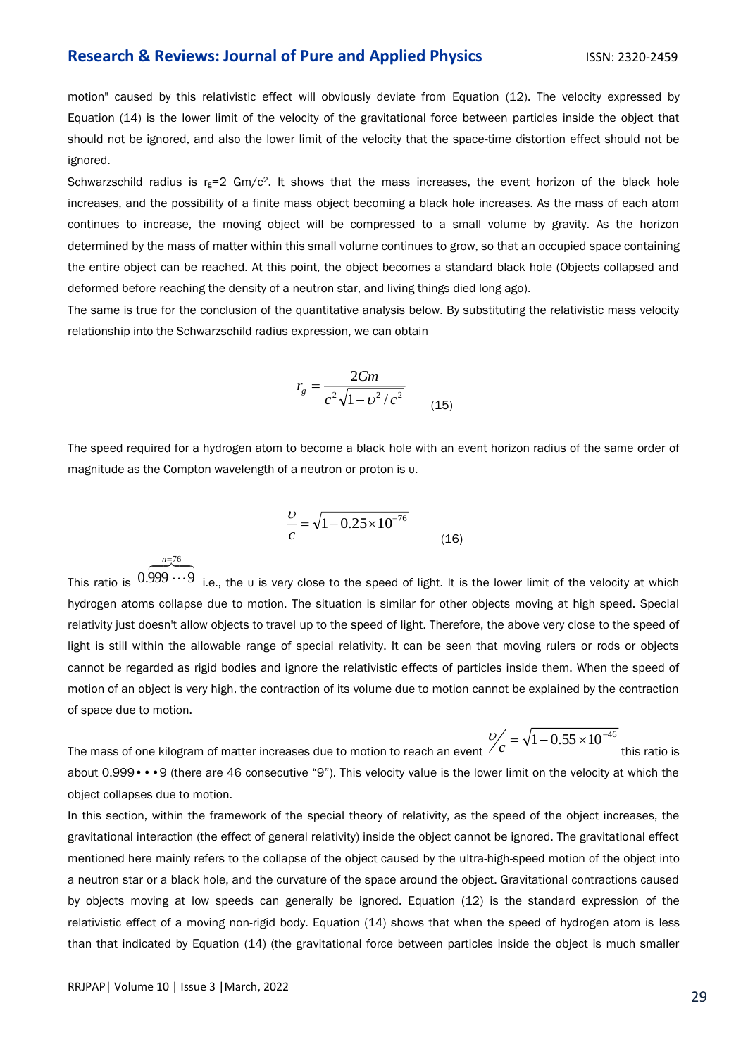motion" caused by this relativistic effect will obviously deviate from Equation (12). The velocity expressed by Equation (14) is the lower limit of the velocity of the gravitational force between particles inside the object that should not be ignored, and also the lower limit of the velocity that the space-time distortion effect should not be ignored.

Schwarzschild radius is  $r_g=2$  Gm/c<sup>2</sup>. It shows that the mass increases, the event horizon of the black hole increases, and the possibility of a finite mass object becoming a black hole increases. As the mass of each atom continues to increase, the moving object will be compressed to a small volume by gravity. As the horizon determined by the mass of matter within this small volume continues to grow, so that an occupied space containing the entire object can be reached. At this point, the object becomes a standard black hole (Objects collapsed and deformed before reaching the density of a neutron star, and living things died long ago).

The same is true for the conclusion of the quantitative analysis below. By substituting the relativistic mass velocity relationship into the Schwarzschild radius expression, we can obtain

$$
r_g = \frac{2Gm}{c^2 \sqrt{1 - v^2/c^2}}
$$
 (15)

The speed required for a hydrogen atom to become a black hole with an event horizon radius of the same order of magnitude as the Compton wavelength of a neutron or proton is υ.

$$
\frac{\nu}{c} = \sqrt{1 - 0.25 \times 10^{-76}}
$$
 (16)

This ratio is  $\widetilde{0.999\cdots 9}\ \overline{\cdots}$  i.e., the u is very close to the speed of light. It is the lower limit of the velocity at which hydrogen atoms collapse due to motion. The situation is similar for other objects moving at high speed. Special relativity just doesn't allow objects to travel up to the speed of light. Therefore, the above very close to the speed of light is still within the allowable range of special relativity. It can be seen that moving rulers or rods or objects cannot be regarded as rigid bodies and ignore the relativistic effects of particles inside them. When the speed of motion of an object is very high, the contraction of its volume due to motion cannot be explained by the contraction of space due to motion.

The mass of one kilogram of matter increases due to motion to reach an event  $\frac{b}{c} = \sqrt{1 - 0.55 \times 10^{-46}}$ this ratio is about 0.999•••9 (there are 46 consecutive "9"). This velocity value is the lower limit on the velocity at which the object collapses due to motion.

In this section, within the framework of the special theory of relativity, as the speed of the object increases, the gravitational interaction (the effect of general relativity) inside the object cannot be ignored. The gravitational effect mentioned here mainly refers to the collapse of the object caused by the ultra-high-speed motion of the object into a neutron star or a black hole, and the curvature of the space around the object. Gravitational contractions caused by objects moving at low speeds can generally be ignored. Equation (12) is the standard expression of the relativistic effect of a moving non-rigid body. Equation (14) shows that when the speed of hydrogen atom is less than that indicated by Equation (14) (the gravitational force between particles inside the object is much smaller

76*n*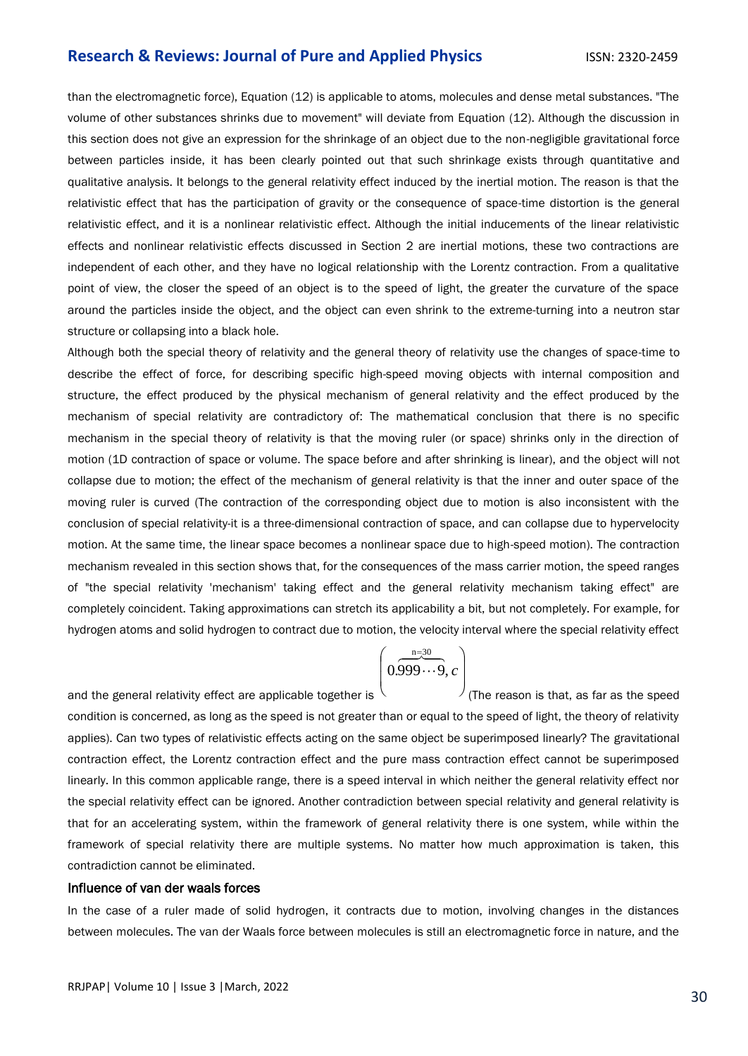than the electromagnetic force), Equation (12) is applicable to atoms, molecules and dense metal substances. "The volume of other substances shrinks due to movement" will deviate from Equation (12). Although the discussion in this section does not give an expression for the shrinkage of an object due to the non-negligible gravitational force between particles inside, it has been clearly pointed out that such shrinkage exists through quantitative and qualitative analysis. It belongs to the general relativity effect induced by the inertial motion. The reason is that the relativistic effect that has the participation of gravity or the consequence of space-time distortion is the general relativistic effect, and it is a nonlinear relativistic effect. Although the initial inducements of the linear relativistic effects and nonlinear relativistic effects discussed in Section 2 are inertial motions, these two contractions are independent of each other, and they have no logical relationship with the Lorentz contraction. From a qualitative point of view, the closer the speed of an object is to the speed of light, the greater the curvature of the space around the particles inside the object, and the object can even shrink to the extreme-turning into a neutron star structure or collapsing into a black hole.

Although both the special theory of relativity and the general theory of relativity use the changes of space-time to describe the effect of force, for describing specific high-speed moving objects with internal composition and structure, the effect produced by the physical mechanism of general relativity and the effect produced by the mechanism of special relativity are contradictory of: The mathematical conclusion that there is no specific mechanism in the special theory of relativity is that the moving ruler (or space) shrinks only in the direction of motion (1D contraction of space or volume. The space before and after shrinking is linear), and the object will not collapse due to motion; the effect of the mechanism of general relativity is that the inner and outer space of the moving ruler is curved (The contraction of the corresponding object due to motion is also inconsistent with the conclusion of special relativity-it is a three-dimensional contraction of space, and can collapse due to hypervelocity motion. At the same time, the linear space becomes a nonlinear space due to high-speed motion). The contraction mechanism revealed in this section shows that, for the consequences of the mass carrier motion, the speed ranges of "the special relativity 'mechanism' taking effect and the general relativity mechanism taking effect" are completely coincident. Taking approximations can stretch its applicability a bit, but not completely. For example, for hydrogen atoms and solid hydrogen to contract due to motion, the velocity interval where the special relativity effect

$$
\left(0.\overbrace{0.999\cdots9}^{n=30},c\right)
$$

and the general relativity effect are applicable together is  $\backslash$  $\int_{\rm (The \ reason \ is \ that, \ as \ far \ as \ the \ speed})$ condition is concerned, as long as the speed is not greater than or equal to the speed of light, the theory of relativity applies). Can two types of relativistic effects acting on the same object be superimposed linearly? The gravitational contraction effect, the Lorentz contraction effect and the pure mass contraction effect cannot be superimposed linearly. In this common applicable range, there is a speed interval in which neither the general relativity effect nor the special relativity effect can be ignored. Another contradiction between special relativity and general relativity is that for an accelerating system, within the framework of general relativity there is one system, while within the framework of special relativity there are multiple systems. No matter how much approximation is taken, this contradiction cannot be eliminated.

#### Influence of van der waals forces

In the case of a ruler made of solid hydrogen, it contracts due to motion, involving changes in the distances between molecules. The van der Waals force between molecules is still an electromagnetic force in nature, and the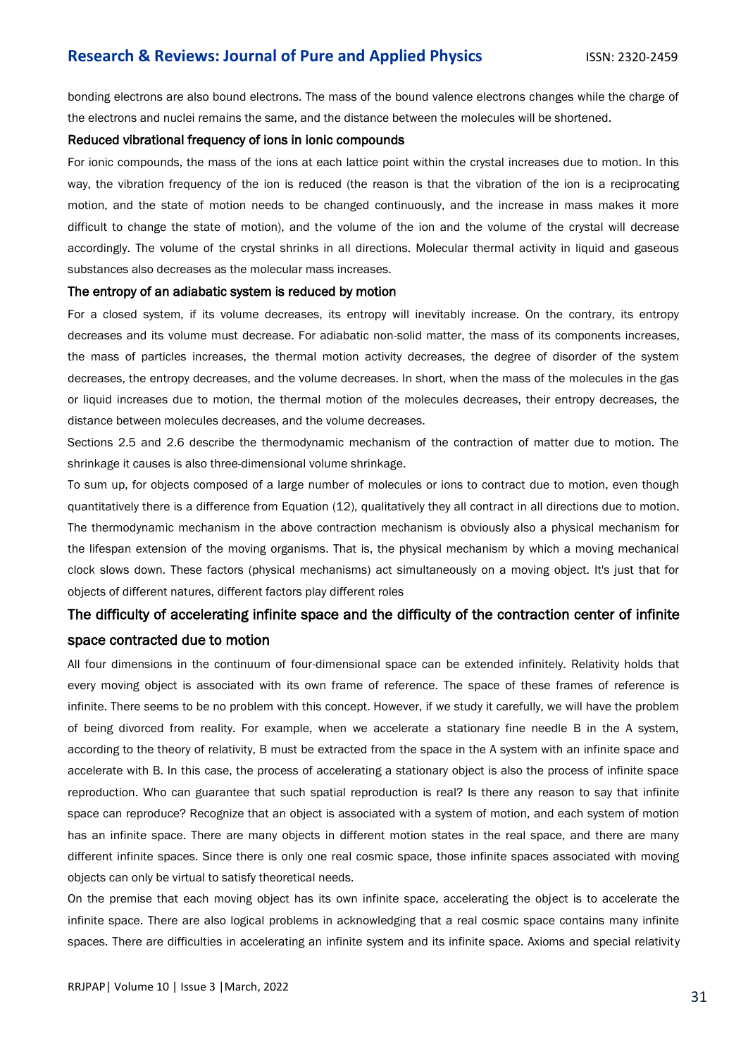bonding electrons are also bound electrons. The mass of the bound valence electrons changes while the charge of the electrons and nuclei remains the same, and the distance between the molecules will be shortened.

#### Reduced vibrational frequency of ions in ionic compounds

For ionic compounds, the mass of the ions at each lattice point within the crystal increases due to motion. In this way, the vibration frequency of the ion is reduced (the reason is that the vibration of the ion is a reciprocating motion, and the state of motion needs to be changed continuously, and the increase in mass makes it more difficult to change the state of motion), and the volume of the ion and the volume of the crystal will decrease accordingly. The volume of the crystal shrinks in all directions. Molecular thermal activity in liquid and gaseous substances also decreases as the molecular mass increases.

#### The entropy of an adiabatic system is reduced by motion

For a closed system, if its volume decreases, its entropy will inevitably increase. On the contrary, its entropy decreases and its volume must decrease. For adiabatic non-solid matter, the mass of its components increases, the mass of particles increases, the thermal motion activity decreases, the degree of disorder of the system decreases, the entropy decreases, and the volume decreases. In short, when the mass of the molecules in the gas or liquid increases due to motion, the thermal motion of the molecules decreases, their entropy decreases, the distance between molecules decreases, and the volume decreases.

Sections 2.5 and 2.6 describe the thermodynamic mechanism of the contraction of matter due to motion. The shrinkage it causes is also three-dimensional volume shrinkage.

To sum up, for objects composed of a large number of molecules or ions to contract due to motion, even though quantitatively there is a difference from Equation (12), qualitatively they all contract in all directions due to motion. The thermodynamic mechanism in the above contraction mechanism is obviously also a physical mechanism for the lifespan extension of the moving organisms. That is, the physical mechanism by which a moving mechanical clock slows down. These factors (physical mechanisms) act simultaneously on a moving object. It's just that for objects of different natures, different factors play different roles

# The difficulty of accelerating infinite space and the difficulty of the contraction center of infinite space contracted due to motion

All four dimensions in the continuum of four-dimensional space can be extended infinitely. Relativity holds that every moving object is associated with its own frame of reference. The space of these frames of reference is infinite. There seems to be no problem with this concept. However, if we study it carefully, we will have the problem of being divorced from reality. For example, when we accelerate a stationary fine needle B in the A system, according to the theory of relativity, B must be extracted from the space in the A system with an infinite space and accelerate with B. In this case, the process of accelerating a stationary object is also the process of infinite space reproduction. Who can guarantee that such spatial reproduction is real? Is there any reason to say that infinite space can reproduce? Recognize that an object is associated with a system of motion, and each system of motion has an infinite space. There are many objects in different motion states in the real space, and there are many different infinite spaces. Since there is only one real cosmic space, those infinite spaces associated with moving objects can only be virtual to satisfy theoretical needs.

On the premise that each moving object has its own infinite space, accelerating the object is to accelerate the infinite space. There are also logical problems in acknowledging that a real cosmic space contains many infinite spaces. There are difficulties in accelerating an infinite system and its infinite space. Axioms and special relativity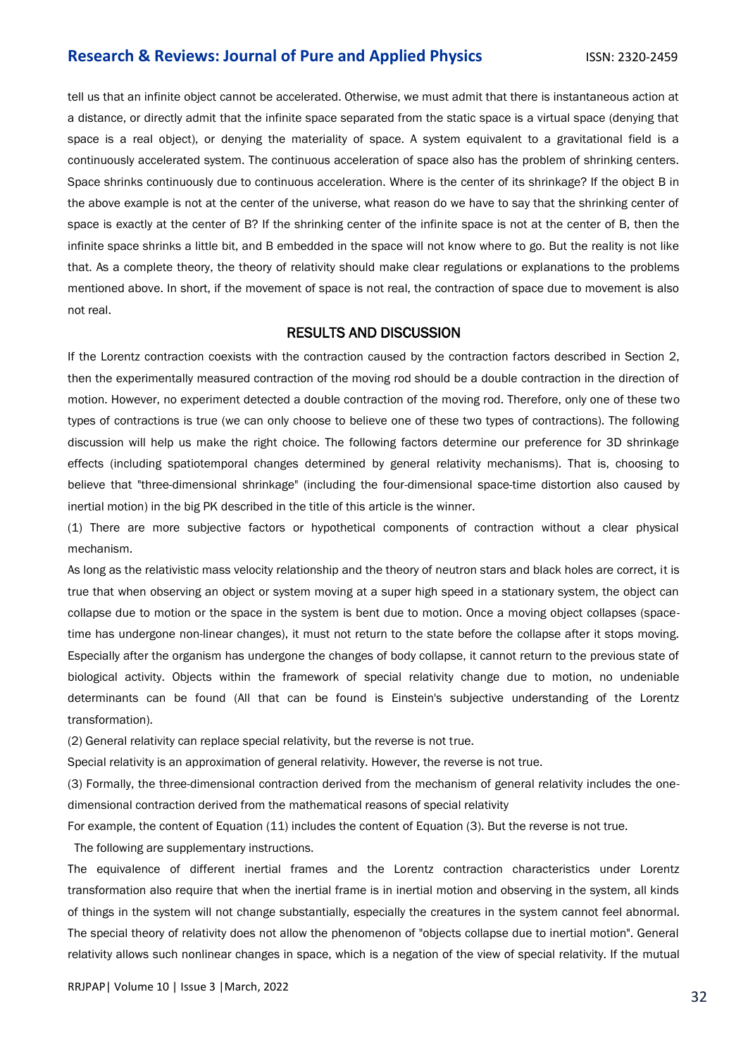tell us that an infinite object cannot be accelerated. Otherwise, we must admit that there is instantaneous action at a distance, or directly admit that the infinite space separated from the static space is a virtual space (denying that space is a real object), or denying the materiality of space. A system equivalent to a gravitational field is a continuously accelerated system. The continuous acceleration of space also has the problem of shrinking centers. Space shrinks continuously due to continuous acceleration. Where is the center of its shrinkage? If the object B in the above example is not at the center of the universe, what reason do we have to say that the shrinking center of space is exactly at the center of B? If the shrinking center of the infinite space is not at the center of B, then the infinite space shrinks a little bit, and B embedded in the space will not know where to go. But the reality is not like that. As a complete theory, the theory of relativity should make clear regulations or explanations to the problems mentioned above. In short, if the movement of space is not real, the contraction of space due to movement is also not real.

#### RESULTS AND DISCUSSION

If the Lorentz contraction coexists with the contraction caused by the contraction factors described in Section 2, then the experimentally measured contraction of the moving rod should be a double contraction in the direction of motion. However, no experiment detected a double contraction of the moving rod. Therefore, only one of these two types of contractions is true (we can only choose to believe one of these two types of contractions). The following discussion will help us make the right choice. The following factors determine our preference for 3D shrinkage effects (including spatiotemporal changes determined by general relativity mechanisms). That is, choosing to believe that "three-dimensional shrinkage" (including the four-dimensional space-time distortion also caused by inertial motion) in the big PK described in the title of this article is the winner.

(1) There are more subjective factors or hypothetical components of contraction without a clear physical mechanism.

As long as the relativistic mass velocity relationship and the theory of neutron stars and black holes are correct, it is true that when observing an object or system moving at a super high speed in a stationary system, the object can collapse due to motion or the space in the system is bent due to motion. Once a moving object collapses (spacetime has undergone non-linear changes), it must not return to the state before the collapse after it stops moving. Especially after the organism has undergone the changes of body collapse, it cannot return to the previous state of biological activity. Objects within the framework of special relativity change due to motion, no undeniable determinants can be found (All that can be found is Einstein's subjective understanding of the Lorentz transformation).

(2) General relativity can replace special relativity, but the reverse is not true.

Special relativity is an approximation of general relativity. However, the reverse is not true.

(3) Formally, the three-dimensional contraction derived from the mechanism of general relativity includes the onedimensional contraction derived from the mathematical reasons of special relativity

For example, the content of Equation (11) includes the content of Equation (3). But the reverse is not true.

The following are supplementary instructions.

The equivalence of different inertial frames and the Lorentz contraction characteristics under Lorentz transformation also require that when the inertial frame is in inertial motion and observing in the system, all kinds of things in the system will not change substantially, especially the creatures in the system cannot feel abnormal. The special theory of relativity does not allow the phenomenon of "objects collapse due to inertial motion". General relativity allows such nonlinear changes in space, which is a negation of the view of special relativity. If the mutual

RRJPAP| Volume 10 | Issue 3 |March, 2022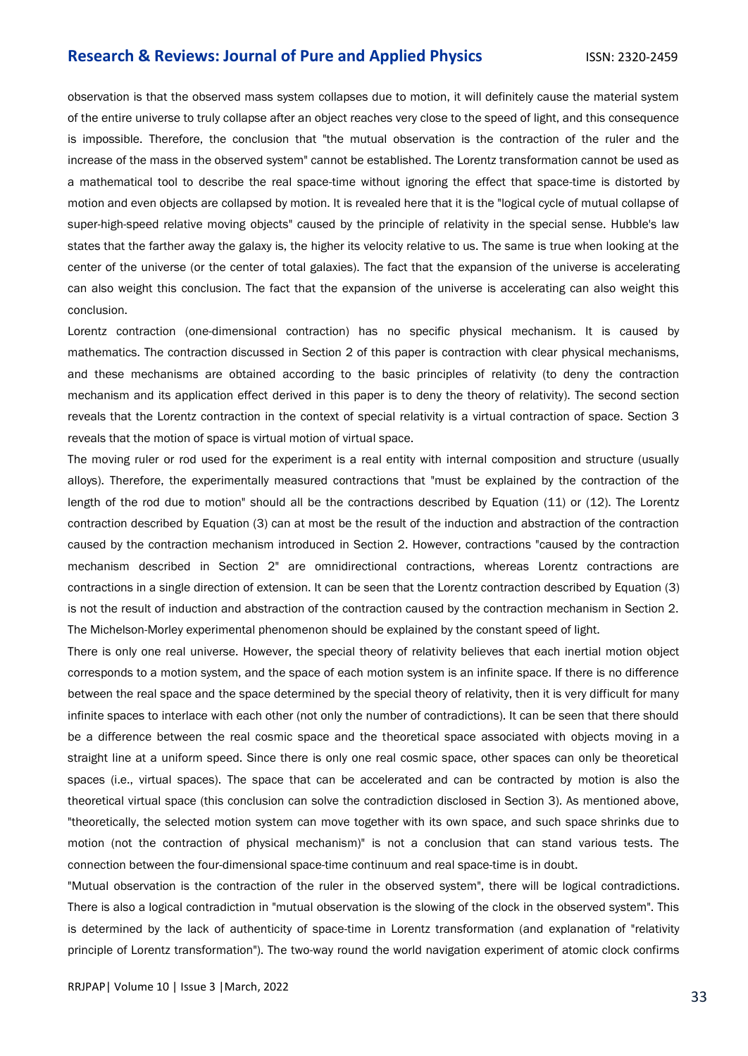observation is that the observed mass system collapses due to motion, it will definitely cause the material system of the entire universe to truly collapse after an object reaches very close to the speed of light, and this consequence is impossible. Therefore, the conclusion that "the mutual observation is the contraction of the ruler and the increase of the mass in the observed system" cannot be established. The Lorentz transformation cannot be used as a mathematical tool to describe the real space-time without ignoring the effect that space-time is distorted by motion and even objects are collapsed by motion. It is revealed here that it is the "logical cycle of mutual collapse of super-high-speed relative moving objects" caused by the principle of relativity in the special sense. Hubble's law states that the farther away the galaxy is, the higher its velocity relative to us. The same is true when looking at the center of the universe (or the center of total galaxies). The fact that the expansion of the universe is accelerating can also weight this conclusion. The fact that the expansion of the universe is accelerating can also weight this conclusion.

Lorentz contraction (one-dimensional contraction) has no specific physical mechanism. It is caused by mathematics. The contraction discussed in Section 2 of this paper is contraction with clear physical mechanisms, and these mechanisms are obtained according to the basic principles of relativity (to deny the contraction mechanism and its application effect derived in this paper is to deny the theory of relativity). The second section reveals that the Lorentz contraction in the context of special relativity is a virtual contraction of space. Section 3 reveals that the motion of space is virtual motion of virtual space.

The moving ruler or rod used for the experiment is a real entity with internal composition and structure (usually alloys). Therefore, the experimentally measured contractions that "must be explained by the contraction of the length of the rod due to motion" should all be the contractions described by Equation (11) or (12). The Lorentz contraction described by Equation (3) can at most be the result of the induction and abstraction of the contraction caused by the contraction mechanism introduced in Section 2. However, contractions "caused by the contraction mechanism described in Section 2" are omnidirectional contractions, whereas Lorentz contractions are contractions in a single direction of extension. It can be seen that the Lorentz contraction described by Equation (3) is not the result of induction and abstraction of the contraction caused by the contraction mechanism in Section 2. The Michelson-Morley experimental phenomenon should be explained by the constant speed of light.

There is only one real universe. However, the special theory of relativity believes that each inertial motion object corresponds to a motion system, and the space of each motion system is an infinite space. If there is no difference between the real space and the space determined by the special theory of relativity, then it is very difficult for many infinite spaces to interlace with each other (not only the number of contradictions). It can be seen that there should be a difference between the real cosmic space and the theoretical space associated with objects moving in a straight line at a uniform speed. Since there is only one real cosmic space, other spaces can only be theoretical spaces (i.e., virtual spaces). The space that can be accelerated and can be contracted by motion is also the theoretical virtual space (this conclusion can solve the contradiction disclosed in Section 3). As mentioned above, "theoretically, the selected motion system can move together with its own space, and such space shrinks due to motion (not the contraction of physical mechanism)" is not a conclusion that can stand various tests. The connection between the four-dimensional space-time continuum and real space-time is in doubt.

"Mutual observation is the contraction of the ruler in the observed system", there will be logical contradictions. There is also a logical contradiction in "mutual observation is the slowing of the clock in the observed system". This is determined by the lack of authenticity of space-time in Lorentz transformation (and explanation of "relativity principle of Lorentz transformation"). The two-way round the world navigation experiment of atomic clock confirms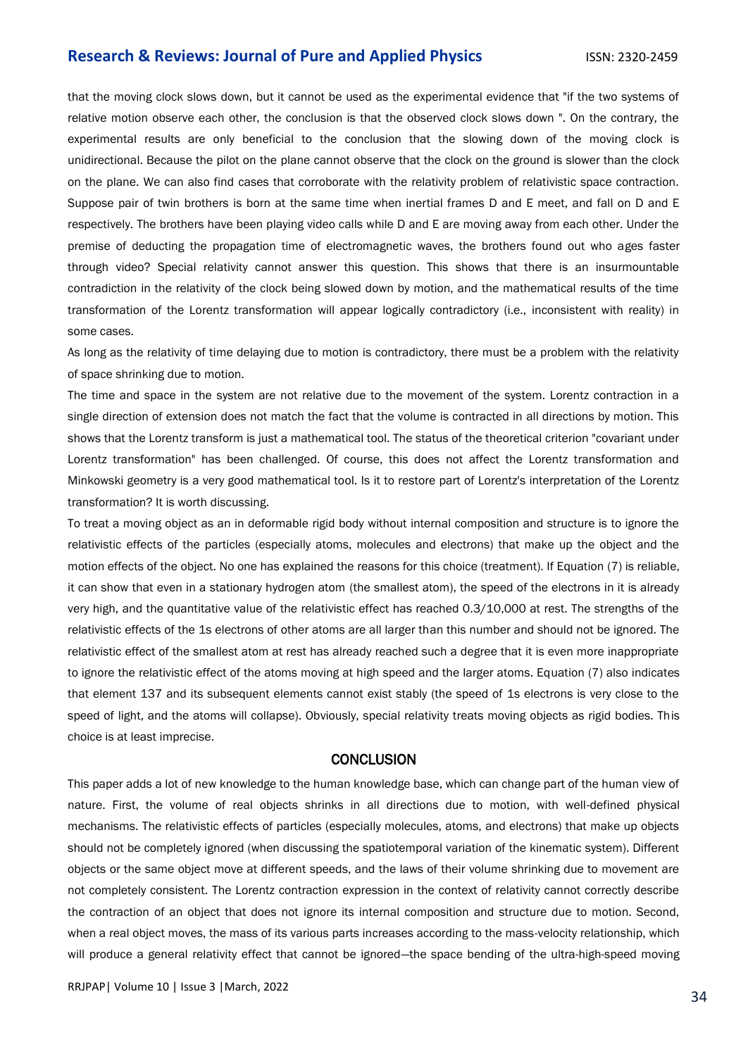that the moving clock slows down, but it cannot be used as the experimental evidence that "if the two systems of relative motion observe each other, the conclusion is that the observed clock slows down ". On the contrary, the experimental results are only beneficial to the conclusion that the slowing down of the moving clock is unidirectional. Because the pilot on the plane cannot observe that the clock on the ground is slower than the clock on the plane. We can also find cases that corroborate with the relativity problem of relativistic space contraction. Suppose pair of twin brothers is born at the same time when inertial frames D and E meet, and fall on D and E respectively. The brothers have been playing video calls while D and E are moving away from each other. Under the premise of deducting the propagation time of electromagnetic waves, the brothers found out who ages faster through video? Special relativity cannot answer this question. This shows that there is an insurmountable contradiction in the relativity of the clock being slowed down by motion, and the mathematical results of the time transformation of the Lorentz transformation will appear logically contradictory (i.e., inconsistent with reality) in some cases.

As long as the relativity of time delaying due to motion is contradictory, there must be a problem with the relativity of space shrinking due to motion.

The time and space in the system are not relative due to the movement of the system. Lorentz contraction in a single direction of extension does not match the fact that the volume is contracted in all directions by motion. This shows that the Lorentz transform is just a mathematical tool. The status of the theoretical criterion "covariant under Lorentz transformation" has been challenged. Of course, this does not affect the Lorentz transformation and Minkowski geometry is a very good mathematical tool. Is it to restore part of Lorentz's interpretation of the Lorentz transformation? It is worth discussing.

To treat a moving object as an in deformable rigid body without internal composition and structure is to ignore the relativistic effects of the particles (especially atoms, molecules and electrons) that make up the object and the motion effects of the object. No one has explained the reasons for this choice (treatment). If Equation (7) is reliable, it can show that even in a stationary hydrogen atom (the smallest atom), the speed of the electrons in it is already very high, and the quantitative value of the relativistic effect has reached 0.3/10,000 at rest. The strengths of the relativistic effects of the 1s electrons of other atoms are all larger than this number and should not be ignored. The relativistic effect of the smallest atom at rest has already reached such a degree that it is even more inappropriate to ignore the relativistic effect of the atoms moving at high speed and the larger atoms. Equation (7) also indicates that element 137 and its subsequent elements cannot exist stably (the speed of 1s electrons is very close to the speed of light, and the atoms will collapse). Obviously, special relativity treats moving objects as rigid bodies. This choice is at least imprecise.

#### **CONCLUSION**

This paper adds a lot of new knowledge to the human knowledge base, which can change part of the human view of nature. First, the volume of real objects shrinks in all directions due to motion, with well-defined physical mechanisms. The relativistic effects of particles (especially molecules, atoms, and electrons) that make up objects should not be completely ignored (when discussing the spatiotemporal variation of the kinematic system). Different objects or the same object move at different speeds, and the laws of their volume shrinking due to movement are not completely consistent. The Lorentz contraction expression in the context of relativity cannot correctly describe the contraction of an object that does not ignore its internal composition and structure due to motion. Second, when a real object moves, the mass of its various parts increases according to the mass-velocity relationship, which will produce a general relativity effect that cannot be ignored—the space bending of the ultra-high-speed moving

RRJPAP| Volume 10 | Issue 3 |March, 2022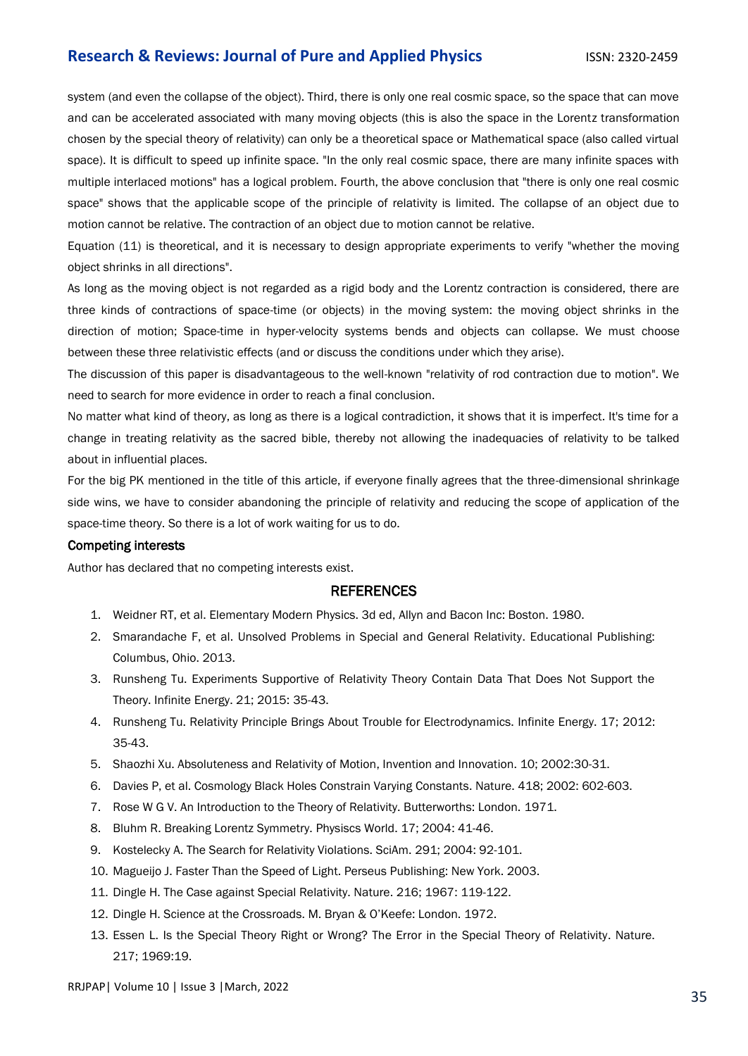system (and even the collapse of the object). Third, there is only one real cosmic space, so the space that can move and can be accelerated associated with many moving objects (this is also the space in the Lorentz transformation chosen by the special theory of relativity) can only be a theoretical space or Mathematical space (also called virtual space). It is difficult to speed up infinite space. "In the only real cosmic space, there are many infinite spaces with multiple interlaced motions" has a logical problem. Fourth, the above conclusion that "there is only one real cosmic space" shows that the applicable scope of the principle of relativity is limited. The collapse of an object due to motion cannot be relative. The contraction of an object due to motion cannot be relative.

Equation (11) is theoretical, and it is necessary to design appropriate experiments to verify "whether the moving object shrinks in all directions".

As long as the moving object is not regarded as a rigid body and the Lorentz contraction is considered, there are three kinds of contractions of space-time (or objects) in the moving system: the moving object shrinks in the direction of motion; Space-time in hyper-velocity systems bends and objects can collapse. We must choose between these three relativistic effects (and or discuss the conditions under which they arise).

The discussion of this paper is disadvantageous to the well-known "relativity of rod contraction due to motion". We need to search for more evidence in order to reach a final conclusion.

No matter what kind of theory, as long as there is a logical contradiction, it shows that it is imperfect. It's time for a change in treating relativity as the sacred bible, thereby not allowing the inadequacies of relativity to be talked about in influential places.

For the big PK mentioned in the title of this article, if everyone finally agrees that the three-dimensional shrinkage side wins, we have to consider abandoning the principle of relativity and reducing the scope of application of the space-time theory. So there is a lot of work waiting for us to do.

#### Competing interests

Author has declared that no competing interests exist.

#### **REFERENCES**

- 1. Weidner RT, et al. Elementary Modern Physics. 3d ed, Allyn and Bacon Inc: Boston. 1980.
- 2. Smarandache F, et al. [Unsolved Problems in Special and General Relativity.](https://www.google.co.in/books/edition/Unsolved_Problems_in_Special_and_General/qk_dBAAAQBAJ?hl=en&gbpv=0) Educational Publishing: Columbus, Ohio. 2013.
- 3. Runsheng Tu. Experiments Supportive of Relativity Theory Contain Data That Does Not Support the Theory. Infinite Energy. 21; 2015: 35-43.
- 4. Runsheng Tu. Relativity Principle Brings About Trouble for Electrodynamics. Infinite Energy. 17; 2012: 35-43.
- 5. Shaozhi Xu. Absoluteness and Relativity of Motion, Invention and Innovation. 10; 2002:30-31.
- 6. Davies P, et al. [Cosmology Black Holes Constrain Varying Constants.](https://www.nature.com/articles/418602a) Nature. 418; 2002: 602-603.
- 7. Rose W G V. An Introduction to the Theory of Relativity. Butterworths: London. 1971.
- 8. Bluhm R. [Breaking Lorentz Symmetry.](https://iopscience.iop.org/article/10.1088/2058-7058/17/3/33/meta) Physiscs World. 17; 2004: 41-46.
- 9. Kostelecky A. [The Search for Relativity Violations.](https://www.jstor.org/stable/26060688) SciAm. 291; 2004: 92-101.
- 10. Magueijo J. [Faster Than the Speed of Light. Perseus Publishing:](https://www.google.co.in/books/edition/Faster_Than_The_Speed_Of_Light/pl9x_y0mXNcC?hl=en&gbpv=0) New York. 2003.
- 11. Dingle H. [The Case against Special Relativity.](https://www.nature.com/articles/216119a0) Nature. 216; 1967: 119-122.
- 12. Dingle H. Science at the Crossroads. M. Bryan & O'Keefe: London. 1972.
- 13. Essen L. [Is the Special Theory Right or Wrong? The Error in the Special Theory of Relativity.](https://www.nature.com/articles/217019a0) Nature. 217; 1969:19.

RRJPAP| Volume 10 | Issue 3 |March, 2022